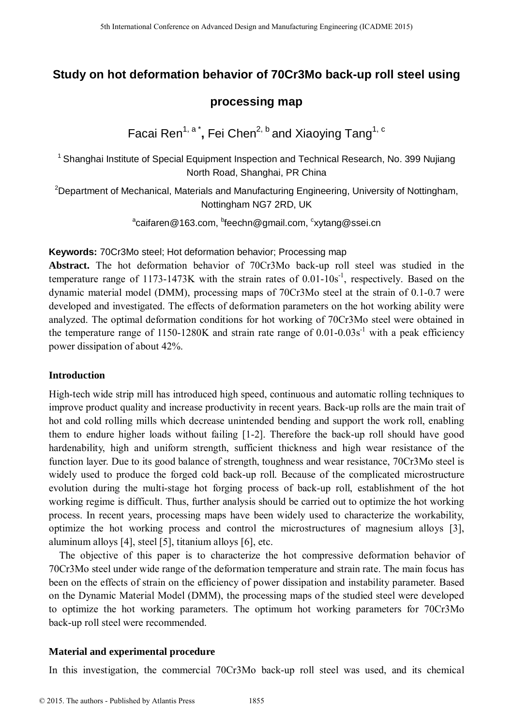# **Study on hot deformation behavior of 70Cr3Mo back-up roll steel using**

## **processing map**

Facai Ren<sup>1, a\*</sup>, Fei Chen<sup>2, b</sup> and Xiaoying Tang<sup>1, c</sup>

<sup>1</sup> Shanghai Institute of Special Equipment Inspection and Technical Research, No. 399 Nujiang North Road, Shanghai, PR China

<sup>2</sup>Department of Mechanical, Materials and Manufacturing Engineering, University of Nottingham, Nottingham NG7 2RD, UK

<sup>a</sup>caifaren@163.com, <sup>b</sup>feechn@gmail.com, <sup>c</sup>xytang@ssei.cn

### **Keywords:** 70Cr3Mo steel; Hot deformation behavior; Processing map

**Abstract.** The hot deformation behavior of 70Cr3Mo back-up roll steel was studied in the temperature range of 1173-1473K with the strain rates of  $0.01$ - $10s<sup>-1</sup>$ , respectively. Based on the dynamic material model (DMM), processing maps of 70Cr3Mo steel at the strain of 0.1-0.7 were developed and investigated. The effects of deformation parameters on the hot working ability were analyzed. The optimal deformation conditions for hot working of 70Cr3Mo steel were obtained in the temperature range of 1150-1280K and strain rate range of  $0.01$ - $0.03s<sup>-1</sup>$  with a peak efficiency power dissipation of about 42%.

## **Introduction**

High-tech wide strip mill has introduced high speed, continuous and automatic rolling techniques to improve product quality and increase productivity in recent years. Back-up rolls are the main trait of hot and cold rolling mills which decrease unintended bending and support the work roll, enabling them to endure higher loads without failing [1-2]. Therefore the back-up roll should have good hardenability, high and uniform strength, sufficient thickness and high wear resistance of the function layer. Due to its good balance of strength, toughness and wear resistance, 70Cr3Mo steel is widely used to produce the forged cold back-up roll. Because of the complicated microstructure evolution during the multi-stage hot forging process of back-up roll, establishment of the hot working regime is difficult. Thus, further analysis should be carried out to optimize the hot working process. In recent years, processing maps have been widely used to characterize the workability, optimize the hot working process and control the microstructures of magnesium alloys [3], aluminum alloys [4], steel [5], titanium alloys [6], etc. 5th International Conference on Advanced Design and Manufacturing Engineering (ICADME 2015)<br>
Shanghai Institute of Special Equipment International Conference on Technical Research, No. 38<br>
<sup>1</sup>Shanghai Institute of Special

The objective of this paper is to characterize the hot compressive deformation behavior of 70Cr3Mo steel under wide range of the deformation temperature and strain rate. The main focus has been on the effects of strain on the efficiency of power dissipation and instability parameter. Based on the Dynamic Material Model (DMM), the processing maps of the studied steel were developed to optimize the hot working parameters. The optimum hot working parameters for 70Cr3Mo back-up roll steel were recommended.

## **Material and experimental procedure**

In this investigation, the commercial 70Cr3Mo back-up roll steel was used, and its chemical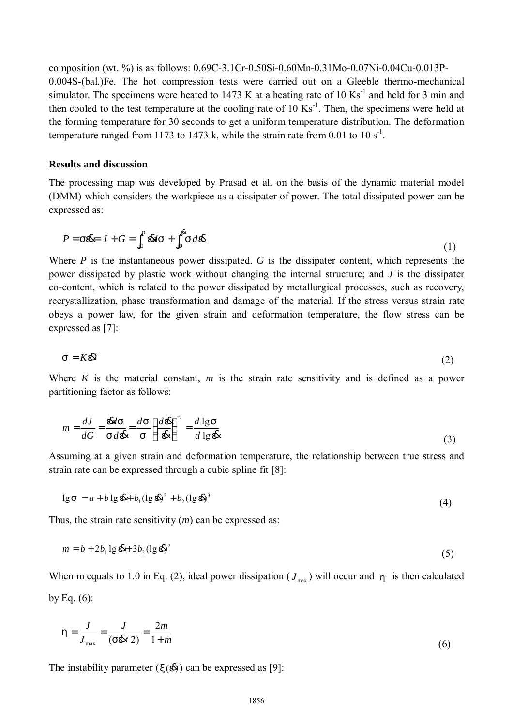composition (wt. %) is as follows: 0.69C-3.1Cr-0.50Si-0.60Mn-0.31Mo-0.07Ni-0.04Cu-0.013P-0.004S-(bal.)Fe. The hot compression tests were carried out on a Gleeble thermo-mechanical simulator. The specimens were heated to 1473 K at a heating rate of 10  $\text{Ks}^{-1}$  and held for 3 min and then cooled to the test temperature at the cooling rate of 10  $\text{Ks}^{-1}$ . Then, the specimens were held at the forming temperature for 30 seconds to get a uniform temperature distribution. The deformation temperature ranged from 1173 to 1473 k, while the strain rate from 0.01 to 10 s<sup>-1</sup>.

### **Results and discussion**

The processing map was developed by Prasad et al. on the basis of the dynamic material model (DMM) which considers the workpiece as a dissipater of power. The total dissipated power can be expressed as:

$$
P = S\mathbf{B} = J + G = \int_0^s \mathbf{B}dS + \int_0^s S d\mathbf{B}
$$
 (1)

Where *P* is the instantaneous power dissipated. *G* is the dissipater content, which represents the power dissipated by plastic work without changing the internal structure; and *J* is the dissipater co-content, which is related to the power dissipated by metallurgical processes, such as recovery, recrystallization, phase transformation and damage of the material. If the stress versus strain rate obeys a power law, for the given strain and deformation temperature, the flow stress can be expressed as [7]:

$$
s = K\mathcal{E}^n \tag{2}
$$

Where *K* is the material constant, *m* is the strain rate sensitivity and is defined as a power partitioning factor as follows:

$$
m = \frac{dJ}{dG} = \frac{dS}{S d \, dR} = \frac{dS}{S} \left(\frac{d \, dR}{dR}\right)^{-1} = \frac{d \lg S}{d \lg R} \tag{3}
$$

Assuming at a given strain and deformation temperature, the relationship between true stress and strain rate can be expressed through a cubic spline fit [8]:

$$
\lg s = a + b \lg \mathbf{\&} + b_1 (\lg \mathbf{\&})^2 + b_2 (\lg \mathbf{\&})^3 \tag{4}
$$

Thus, the strain rate sensitivity (*m*) can be expressed as:

$$
m = b + 2b_1 \lg \mathbf{d}t + 3b_2 (\lg \mathbf{d}\mathbf{d})^2
$$
\n<sup>(5)</sup>

When m equals to 1.0 in Eq. (2), ideal power dissipation ( $J_{\text{max}}$ ) will occur and  $h$  is then calculated by Eq.  $(6)$ :

$$
h = \frac{J}{J_{\text{max}}} = \frac{J}{(s\mathbf{R}/2)} = \frac{2m}{1+m}
$$
(6)

The instability parameter  $(x(\&)$  can be expressed as [9]: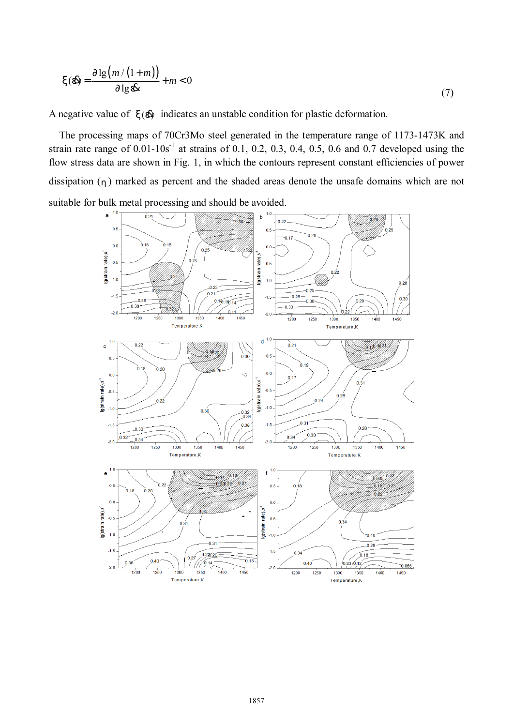$$
x(\mathbf{A}) = \frac{\partial \lg(m/(1+m))}{\partial \lg \mathbf{A}} + m < 0
$$
 (7)

A negative value of  $x(\mathbf{A})$  indicates an unstable condition for plastic deformation.

The processing maps of 70Cr3Mo steel generated in the temperature range of 1173-1473K and strain rate range of  $0.01 - 10s^{-1}$  at strains of 0.1, 0.2, 0.3, 0.4, 0.5, 0.6 and 0.7 developed using the flow stress data are shown in Fig. 1, in which the contours represent constant efficiencies of power dissipation (*h*) marked as percent and the shaded areas denote the unsafe domains which are not suitable for bulk metal processing and should be avoided.